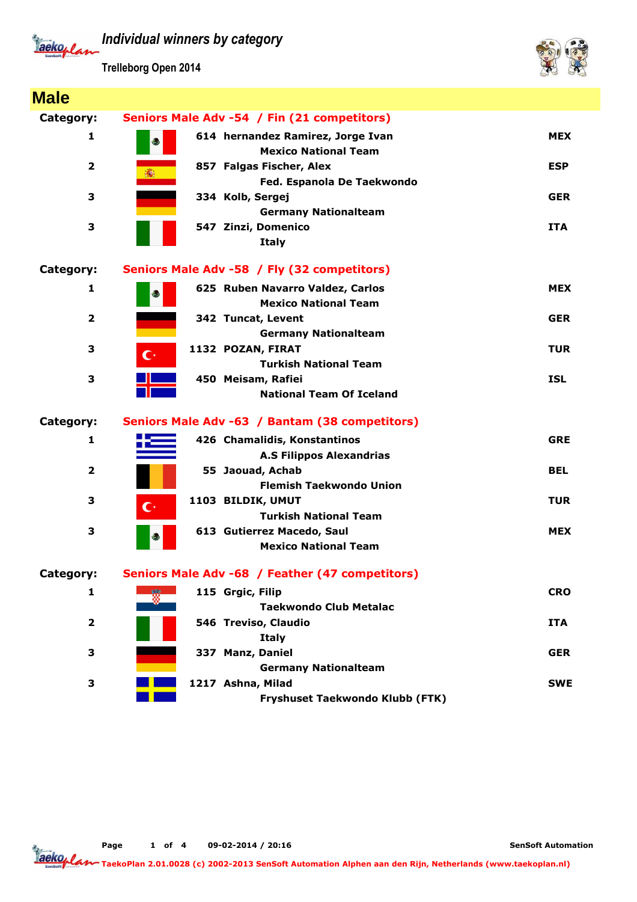Tackoplan

**Trelleborg Open 2014**



| <b>Male</b>             |                                                                                |            |
|-------------------------|--------------------------------------------------------------------------------|------------|
| Category:               | Seniors Male Adv -54 / Fin (21 competitors)                                    |            |
| 1                       | 614 hernandez Ramirez, Jorge Ivan<br>$\epsilon$<br><b>Mexico National Team</b> | <b>MEX</b> |
| 2                       | 857 Falgas Fischer, Alex<br>: - 藤<br>Fed. Espanola De Taekwondo                | <b>ESP</b> |
| 3                       | 334 Kolb, Sergej<br><b>Germany Nationalteam</b>                                | <b>GER</b> |
| 3                       | 547 Zinzi, Domenico<br><b>Italy</b>                                            | <b>ITA</b> |
| Category:               | Seniors Male Adv -58 / Fly (32 competitors)                                    |            |
| 1                       | 625 Ruben Navarro Valdez, Carlos<br>$\bigoplus$<br><b>Mexico National Team</b> | <b>MEX</b> |
| $\overline{\mathbf{2}}$ | 342 Tuncat, Levent<br><b>Germany Nationalteam</b>                              | <b>GER</b> |
| 3                       | 1132 POZAN, FIRAT<br>$\mathbf{C}^*$<br><b>Turkish National Team</b>            | <b>TUR</b> |
| 3                       | 450 Meisam, Rafiei<br><b>National Team Of Iceland</b>                          | <b>ISL</b> |
| Category:               | Seniors Male Adv -63 / Bantam (38 competitors)                                 |            |
| 1                       | 426 Chamalidis, Konstantinos<br><b>A.S Filippos Alexandrias</b>                | <b>GRE</b> |
| $\overline{2}$          | 55 Jaouad, Achab<br><b>Flemish Taekwondo Union</b>                             | <b>BEL</b> |
| 3                       | 1103 BILDIK, UMUT<br>$\mathbf{C}^*$<br><b>Turkish National Team</b>            | <b>TUR</b> |
| 3                       | 613 Gutierrez Macedo, Saul<br>رچ<br><b>Mexico National Team</b>                | <b>MEX</b> |
| Category:               | Seniors Male Adv -68 / Feather (47 competitors)                                |            |
| 1                       | 115 Grgic, Filip<br>慸<br><b>Taekwondo Club Metalac</b>                         | <b>CRO</b> |
| 2                       | 546 Treviso, Claudio<br><b>Italy</b>                                           | <b>ITA</b> |
| 3                       | 337 Manz, Daniel<br><b>Germany Nationalteam</b>                                | <b>GER</b> |
| 3                       | 1217 Ashna, Milad<br>Fryshuset Taekwondo Klubb (FTK)                           | <b>SWE</b> |

**Page 1 of 4 09-02-2014 / 20:16**

Tackoplan **TaekoPlan 2.01.0028 (c) 2002-2013 SenSoft Automation Alphen aan den Rijn, Netherlands (www.taekoplan.nl)**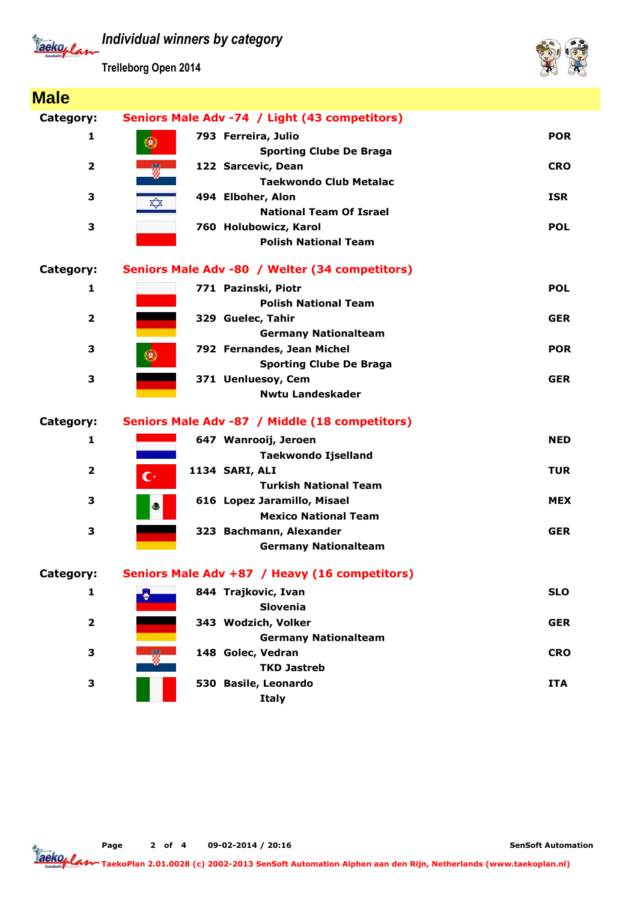

**Trelleborg Open 2014**



| <b>Male</b>             |                                                      |            |
|-------------------------|------------------------------------------------------|------------|
| Category:               | Seniors Male Adv -74 / Light (43 competitors)        |            |
| 1                       | 793 Ferreira, Julio                                  | <b>POR</b> |
|                         | ۳<br><b>Sporting Clube De Braga</b>                  |            |
| $\overline{\mathbf{2}}$ | 122 Sarcevic, Dean                                   | <b>CRO</b> |
|                         | <b>Taekwondo Club Metalac</b>                        |            |
| 3                       | 494 Elboher, Alon<br>$\overrightarrow{\mathbf{r}}$   | <b>ISR</b> |
|                         | <b>National Team Of Israel</b>                       |            |
| З                       | 760 Holubowicz, Karol<br><b>Polish National Team</b> | <b>POL</b> |
|                         |                                                      |            |
| Category:               | Seniors Male Adv -80 / Welter (34 competitors)       |            |
| 1                       | 771 Pazinski, Piotr                                  | <b>POL</b> |
|                         | <b>Polish National Team</b>                          |            |
| $\mathbf{2}$            | 329 Guelec, Tahir                                    | <b>GER</b> |
|                         | <b>Germany Nationalteam</b>                          |            |
| З                       | 792 Fernandes, Jean Michel                           | <b>POR</b> |
|                         | <b>Sporting Clube De Braga</b>                       |            |
| 3                       | 371 Uenluesoy, Cem                                   | <b>GER</b> |
|                         | <b>Nwtu Landeskader</b>                              |            |
| <b>Category:</b>        | Seniors Male Adv -87 / Middle (18 competitors)       |            |
| 1                       | 647 Wanrooij, Jeroen                                 | <b>NED</b> |
|                         | <b>Taekwondo Ijselland</b>                           |            |
| 2                       | 1134 SARI, ALI<br>$\mathbb{C}^*$                     | <b>TUR</b> |
|                         | <b>Turkish National Team</b>                         |            |
| 3                       | 616 Lopez Jaramillo, Misael<br>ويج                   | <b>MEX</b> |
|                         | <b>Mexico National Team</b>                          |            |
| 3                       | 323 Bachmann, Alexander                              | <b>GER</b> |
|                         | <b>Germany Nationalteam</b>                          |            |
| Category:               | Seniors Male Adv +87 / Heavy (16 competitors)        |            |
| 1                       | 844 Trajkovic, Ivan                                  | <b>SLO</b> |
|                         | <b>Slovenia</b>                                      |            |
| $\overline{\mathbf{2}}$ | 343 Wodzich, Volker                                  | <b>GER</b> |
|                         | <b>Germany Nationalteam</b>                          |            |
| 3                       | 148 Golec, Vedran                                    | <b>CRO</b> |
|                         | <b>TKD Jastreb</b>                                   |            |
| 3                       | 530 Basile, Leonardo                                 | <b>ITA</b> |
|                         | <b>Italy</b>                                         |            |

**Page 2 of 4 09-02-2014 / 20:16**

**TaekoPlan 2.01.0028 (c) 2002-2013 SenSoft Automation Alphen aan den Rijn, Netherlands (www.taekoplan.nl)**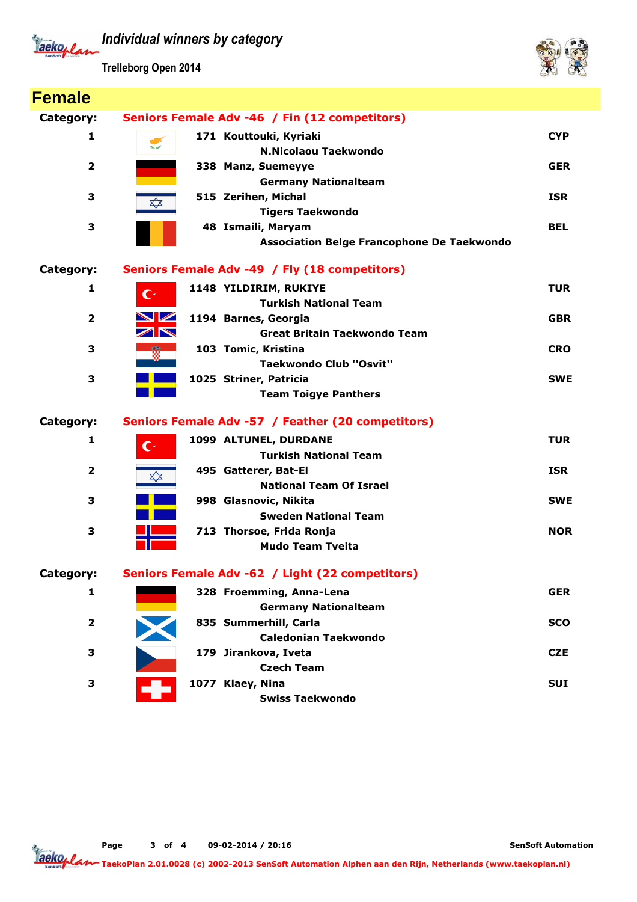Tackoplan

**Trelleborg Open 2014**



| <b>Female</b>           |                                                      |            |
|-------------------------|------------------------------------------------------|------------|
| Category:               | Seniors Female Adv -46 / Fin (12 competitors)        |            |
| 1                       | 171 Kouttouki, Kyriaki<br><b>Ship and Contract</b>   | <b>CYP</b> |
|                         | <b>N.Nicolaou Taekwondo</b>                          |            |
| $\overline{2}$          | 338 Manz, Suemeyye                                   | <b>GER</b> |
|                         | <b>Germany Nationalteam</b>                          |            |
| З                       | 515 Zerihen, Michal<br>$\overrightarrow{\mathbf{x}}$ | <b>ISR</b> |
|                         | <b>Tigers Taekwondo</b>                              |            |
| 3                       | 48 Ismaili, Maryam                                   | <b>BEL</b> |
|                         | <b>Association Belge Francophone De Taekwondo</b>    |            |
| Category:               | Seniors Female Adv -49 / Fly (18 competitors)        |            |
| 1                       | 1148 YILDIRIM, RUKIYE<br>$\mathbf{C}^*$              | <b>TUR</b> |
|                         | <b>Turkish National Team</b>                         |            |
| $\mathbf{2}$            | <b>NZ</b><br>1194 Barnes, Georgia                    | <b>GBR</b> |
|                         | ZN<br><b>Great Britain Taekwondo Team</b>            |            |
| 3                       | 103 Tomic, Kristina                                  | <b>CRO</b> |
|                         | <b>Taekwondo Club "Osvit"</b>                        |            |
| 3                       | 1025 Striner, Patricia                               | <b>SWE</b> |
|                         | <b>Team Toigye Panthers</b>                          |            |
| Category:               | Seniors Female Adv -57 / Feather (20 competitors)    |            |
| 1                       | 1099 ALTUNEL, DURDANE<br>$\mathbf{C}^*$              | <b>TUR</b> |
|                         | <b>Turkish National Team</b>                         |            |
| $\overline{\mathbf{2}}$ | 495 Gatterer, Bat-El<br>                             | <b>ISR</b> |
|                         | <b>National Team Of Israel</b>                       |            |
| 3                       | 998 Glasnovic, Nikita                                | <b>SWE</b> |
|                         | <b>Sweden National Team</b>                          |            |
| 3                       | 713 Thorsoe, Frida Ronja                             | <b>NOR</b> |
|                         | <b>Mudo Team Tyeita</b>                              |            |
| Category:               | Seniors Female Adv -62 / Light (22 competitors)      |            |
| 1                       | 328 Froemming, Anna-Lena                             | <b>GER</b> |
|                         | <b>Germany Nationalteam</b>                          |            |
| $\overline{2}$          | 835 Summerhill, Carla                                | <b>SCO</b> |
|                         | <b>Caledonian Taekwondo</b>                          |            |
| 3                       | 179 Jirankova, Iveta                                 | <b>CZE</b> |
|                         | <b>Czech Team</b>                                    |            |
| 3                       | 1077 Klaey, Nina                                     | <b>SUI</b> |
|                         | <b>Swiss Taekwondo</b>                               |            |

**Page 3 of 4 09-02-2014 / 20:16**

**SenSoft Automation**

Tackoplan **TaekoPlan 2.01.0028 (c) 2002-2013 SenSoft Automation Alphen aan den Rijn, Netherlands (www.taekoplan.nl)**